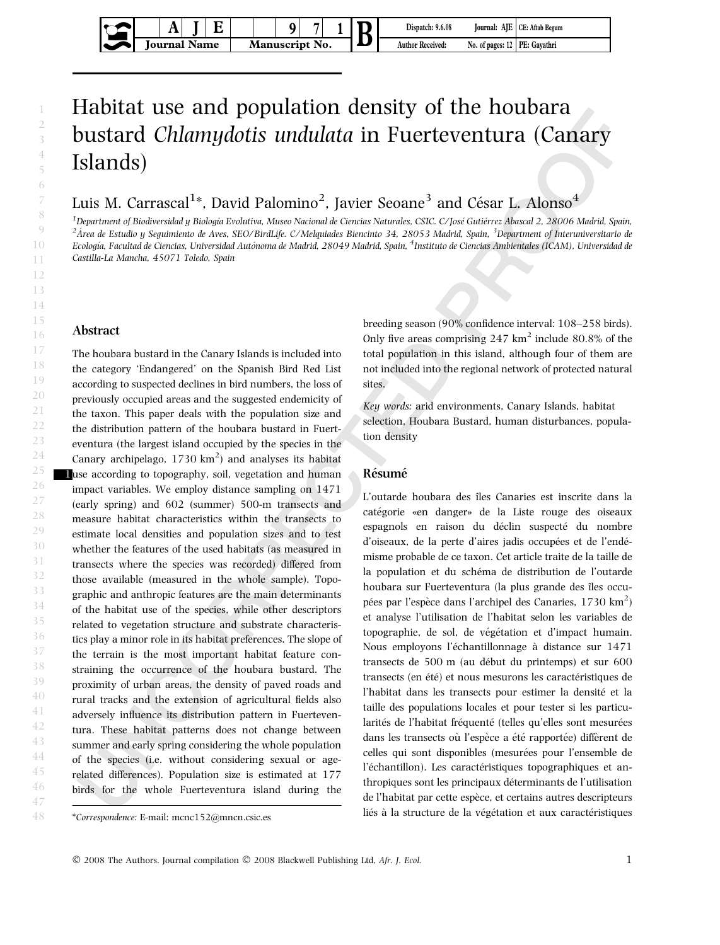# Habitat use and population density of the houbara bustard Chlamydotis undulata in Fuerteventura (Canary Islands)

Luis M. Carrascal $^{1*}$ , David Palomino $^{2}$ , Javier Seoane $^{3}$  and César L. Alonso $^{4}$ 

<sup>1</sup>Department of Biodiversidad y Biología Evolutiva, Museo Nacional de Ciencias Naturales, CSIC, C/José Gutiérrez Abascal 2, 28006 Madrid, Spain,  $^2$ Área de Estudio y Seguimiento de Aves, SEO/BirdLife. C/Melquiades Biencinto 34, 28053 Madrid, Spain, <sup>3</sup>Department of Interuniversitario de Ecología, Facultad de Ciencias, Universidad Autónoma de Madrid, 28049 Madrid, Spain, <sup>4</sup>Instituto de Ciencias Ambientales (ICAM), Universidad de Castilla-La Mancha, 45071 Toledo, Spain

## Abstract

The houbara bustard in the Canary Islands is included into the category 'Endangered' on the Spanish Bird Red List according to suspected declines in bird numbers, the loss of previously occupied areas and the suggested endemicity of the taxon. This paper deals with the population size and the distribution pattern of the houbara bustard in Fuerteventura (the largest island occupied by the species in the Canary archipelago,  $1730 \text{ km}^2$ ) and analyses its habitat 1use according to topography, soil, vegetation and human impact variables. We employ distance sampling on 1471 (early spring) and 602 (summer) 500-m transects and measure habitat characteristics within the transects to estimate local densities and population sizes and to test whether the features of the used habitats (as measured in transects where the species was recorded) differed from those available (measured in the whole sample). Topographic and anthropic features are the main determinants of the habitat use of the species, while other descriptors related to vegetation structure and substrate characteristics play a minor role in its habitat preferences. The slope of the terrain is the most important habitat feature constraining the occurrence of the houbara bustard. The proximity of urban areas, the density of paved roads and rural tracks and the extension of agricultural fields also adversely influence its distribution pattern in Fuerteventura. These habitat patterns does not change between summer and early spring considering the whole population of the species (i.e. without considering sexual or agerelated differences). Population size is estimated at 177 birds for the whole Fuerteventura island during the

breeding season (90% confidence interval: 108–258 birds). Only five areas comprising  $247 \text{ km}^2$  include  $80.8\%$  of the total population in this island, although four of them are not included into the regional network of protected natural sites.

Key words: arid environments, Canary Islands, habitat selection, Houbara Bustard, human disturbances, population density

## Résumé

L'outarde houbara des îles Canaries est inscrite dans la catégorie «en danger» de la Liste rouge des oiseaux espagnols en raison du déclin suspecté du nombre d'oiseaux, de la perte d'aires jadis occupées et de l'endémisme probable de ce taxon. Cet article traite de la taille de la population et du schéma de distribution de l'outarde houbara sur Fuerteventura (la plus grande des îles occupées par l'espèce dans l'archipel des Canaries,  $1730 \text{ km}^2$ ) et analyse l'utilisation de l'habitat selon les variables de topographie, de sol, de végétation et d'impact humain. Nous employons l'échantillonnage à distance sur 1471 transects de 500 m (au début du printemps) et sur 600 transects (en été) et nous mesurons les caractéristiques de l'habitat dans les transects pour estimer la densité et la taille des populations locales et pour tester si les particularités de l'habitat fréquenté (telles qu'elles sont mesurées dans les transects où l'espèce a été rapportée) diffèrent de celles qui sont disponibles (mesurées pour l'ensemble de l'échantillon). Les caractéristiques topographiques et anthropiques sont les principaux déterminants de l'utilisation de l'habitat par cette espèce, et certains autres descripteurs liés à la structure de la végétation et aux caractéristiques

<sup>\*</sup>Correspondence: E-mail: mcnc152@mncn.csic.es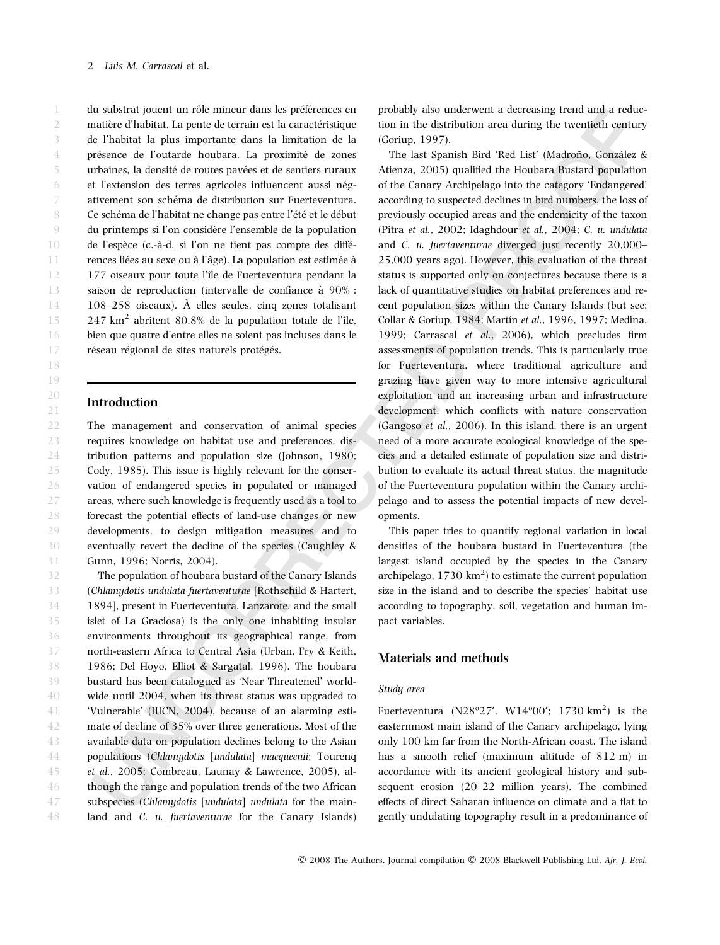du substrat jouent un rôle mineur dans les préférences en matière d'habitat. La pente de terrain est la caractéristique de l'habitat la plus importante dans la limitation de la présence de l'outarde houbara. La proximité de zones urbaines, la densité de routes pavées et de sentiers ruraux et l'extension des terres agricoles influencent aussi négativement son schéma de distribution sur Fuerteventura. Ce schéma de l'habitat ne change pas entre l'été et le début du printemps si l'on considère l'ensemble de la population de l'espèce (c.-à-d. si l'on ne tient pas compte des différences liées au sexe ou à l'âge). La population est estimée à 177 oiseaux pour toute l'île de Fuerteventura pendant la saison de reproduction (intervalle de confiance à 90% : 108–258 oiseaux).  $\hat{A}$  elles seules, cinq zones totalisant  $247 \text{ km}^2$  abritent 80,8% de la population totale de l'île, bien que quatre d'entre elles ne soient pas incluses dans le réseau régional de sites naturels protégés. 1 2 3 4 5 6 7 8 9 10 11 12 13 14 15 16 17

### Introduction

The management and conservation of animal species requires knowledge on habitat use and preferences, distribution patterns and population size (Johnson, 1980; Cody, 1985). This issue is highly relevant for the conservation of endangered species in populated or managed areas, where such knowledge is frequently used as a tool to forecast the potential effects of land-use changes or new developments, to design mitigation measures and to eventually revert the decline of the species (Caughley & Gunn, 1996; Norris, 2004). 22 23 24 25 26 27 28 29 30 31

The population of houbara bustard of the Canary Islands (Chlamydotis undulata fuertaventurae [Rothschild & Hartert, 1894], present in Fuerteventura, Lanzarote, and the small islet of La Graciosa) is the only one inhabiting insular environments throughout its geographical range, from north-eastern Africa to Central Asia (Urban, Fry & Keith, 1986; Del Hoyo, Elliot & Sargatal, 1996). The houbara bustard has been catalogued as 'Near Threatened' worldwide until 2004, when its threat status was upgraded to 'Vulnerable' (IUCN, 2004), because of an alarming estimate of decline of 35% over three generations. Most of the available data on population declines belong to the Asian populations (Chlamydotis [undulata] macqueenii; Tourenq et al., 2005; Combreau, Launay & Lawrence, 2005), although the range and population trends of the two African subspecies (Chlamydotis [undulata] undulata for the mainland and C. u. fuertaventurae for the Canary Islands) 32 33 34 35 36 37 38 39 40 41 42 43 44 45 46 47 48

probably also underwent a decreasing trend and a reduction in the distribution area during the twentieth century (Goriup, 1997).

The last Spanish Bird 'Red List' (Madroño, González & Atienza, 2005) qualified the Houbara Bustard population of the Canary Archipelago into the category 'Endangered' according to suspected declines in bird numbers, the loss of previously occupied areas and the endemicity of the taxon (Pitra et al., 2002; Idaghdour et al., 2004; C. u. undulata and C. u. fuertaventurae diverged just recently 20,000– 25,000 years ago). However, this evaluation of the threat status is supported only on conjectures because there is a lack of quantitative studies on habitat preferences and recent population sizes within the Canary Islands (but see: Collar & Goriup, 1984; Martín et al., 1996, 1997; Medina, 1999; Carrascal et al., 2006), which precludes firm assessments of population trends. This is particularly true for Fuerteventura, where traditional agriculture and grazing have given way to more intensive agricultural exploitation and an increasing urban and infrastructure development, which conflicts with nature conservation (Gangoso et al., 2006). In this island, there is an urgent need of a more accurate ecological knowledge of the species and a detailed estimate of population size and distribution to evaluate its actual threat status, the magnitude of the Fuerteventura population within the Canary archipelago and to assess the potential impacts of new developments.

This paper tries to quantify regional variation in local densities of the houbara bustard in Fuerteventura (the largest island occupied by the species in the Canary archipelago,  $1730 \text{ km}^2$ ) to estimate the current population size in the island and to describe the species' habitat use according to topography, soil, vegetation and human impact variables.

## Materials and methods

### Study area

Fuerteventura ( $N28^{\circ}27'$ ,  $W14^{\circ}00'$ ; 1730 km<sup>2</sup>) is the easternmost main island of the Canary archipelago, lying only 100 km far from the North-African coast. The island has a smooth relief (maximum altitude of 812 m) in accordance with its ancient geological history and subsequent erosion (20–22 million years). The combined effects of direct Saharan influence on climate and a flat to gently undulating topography result in a predominance of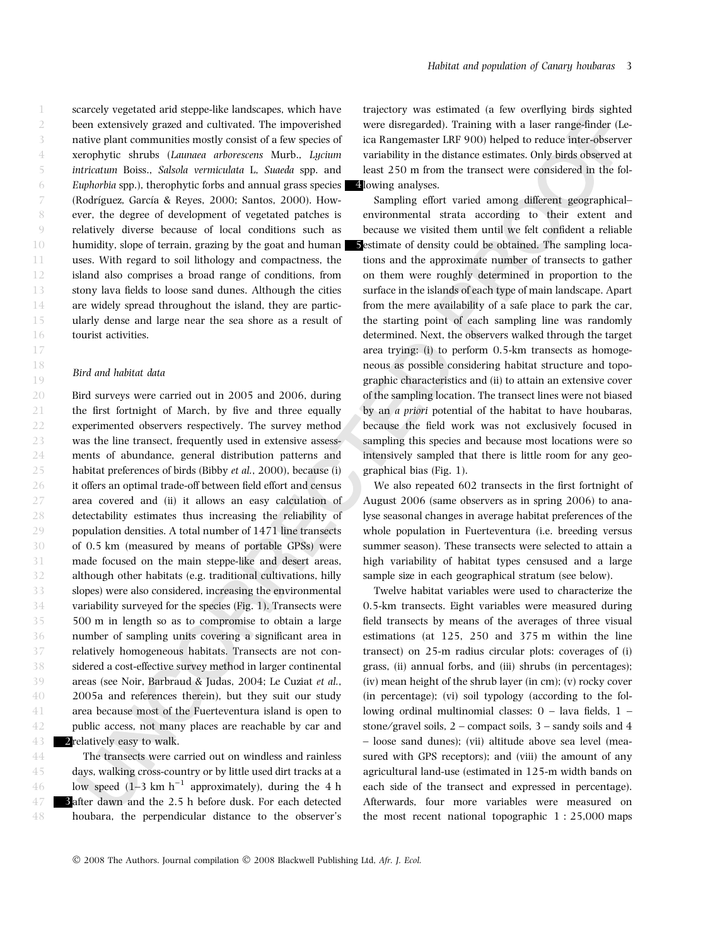scarcely vegetated arid steppe-like landscapes, which have been extensively grazed and cultivated. The impoverished native plant communities mostly consist of a few species of xerophytic shrubs (Launaea arborescens Murb., Lycium intricatum Boiss., Salsola vermiculata L, Suaeda spp. and Euphorbia spp.), therophytic forbs and annual grass species (Rodríguez, García & Reyes, 2000; Santos, 2000). However, the degree of development of vegetated patches is relatively diverse because of local conditions such as humidity, slope of terrain, grazing by the goat and human uses. With regard to soil lithology and compactness, the island also comprises a broad range of conditions, from stony lava fields to loose sand dunes. Although the cities are widely spread throughout the island, they are particularly dense and large near the sea shore as a result of tourist activities.

### Bird and habitat data

Bird surveys were carried out in 2005 and 2006, during the first fortnight of March, by five and three equally experimented observers respectively. The survey method was the line transect, frequently used in extensive assessments of abundance, general distribution patterns and habitat preferences of birds (Bibby et al., 2000), because (i) it offers an optimal trade-off between field effort and census area covered and (ii) it allows an easy calculation of detectability estimates thus increasing the reliability of population densities. A total number of 1471 line transects of 0.5 km (measured by means of portable GPSs) were made focused on the main steppe-like and desert areas, although other habitats (e.g. traditional cultivations, hilly slopes) were also considered, increasing the environmental variability surveyed for the species (Fig. 1). Transects were 500 m in length so as to compromise to obtain a large number of sampling units covering a significant area in relatively homogeneous habitats. Transects are not considered a cost-effective survey method in larger continental areas (see Noir, Barbraud & Judas, 2004; Le Cuziat et al., 2005a and references therein), but they suit our study area because most of the Fuerteventura island is open to public access, not many places are reachable by car and 2 relatively easy to walk.

The transects were carried out on windless and rainless days, walking cross-country or by little used dirt tracks at a low speed  $(1-3 \text{ km h}^{-1})$  approximately), during the 4 h after dawn and the 2.5 h before dusk. For each detected houbara, the perpendicular distance to the observer's

trajectory was estimated (a few overflying birds sighted were disregarded). Training with a laser range-finder (Leica Rangemaster LRF 900) helped to reduce inter-observer variability in the distance estimates. Only birds observed at least 250 m from the transect were considered in the fol-4lowing analyses.

Sampling effort varied among different geographical– environmental strata according to their extent and because we visited them until we felt confident a reliable estimate of density could be obtained. The sampling locations and the approximate number of transects to gather on them were roughly determined in proportion to the surface in the islands of each type of main landscape. Apart from the mere availability of a safe place to park the car, the starting point of each sampling line was randomly determined. Next, the observers walked through the target area trying: (i) to perform 0.5-km transects as homogeneous as possible considering habitat structure and topographic characteristics and (ii) to attain an extensive cover of the sampling location. The transect lines were not biased by an a priori potential of the habitat to have houbaras, because the field work was not exclusively focused in sampling this species and because most locations were so intensively sampled that there is little room for any geographical bias (Fig. 1).

We also repeated 602 transects in the first fortnight of August 2006 (same observers as in spring 2006) to analyse seasonal changes in average habitat preferences of the whole population in Fuerteventura (i.e. breeding versus summer season). These transects were selected to attain a high variability of habitat types censused and a large sample size in each geographical stratum (see below).

Twelve habitat variables were used to characterize the 0.5-km transects. Eight variables were measured during field transects by means of the averages of three visual estimations (at 125, 250 and 375 m within the line transect) on 25-m radius circular plots: coverages of (i) grass, (ii) annual forbs, and (iii) shrubs (in percentages); (iv) mean height of the shrub layer (in cm); (v) rocky cover (in percentage); (vi) soil typology (according to the following ordinal multinomial classes: 0 – lava fields, 1 – stone/gravel soils,  $2$  – compact soils,  $3$  – sandy soils and  $4$ – loose sand dunes); (vii) altitude above sea level (measured with GPS receptors); and (viii) the amount of any agricultural land-use (estimated in 125-m width bands on each side of the transect and expressed in percentage). Afterwards, four more variables were measured on the most recent national topographic 1 : 25,000 maps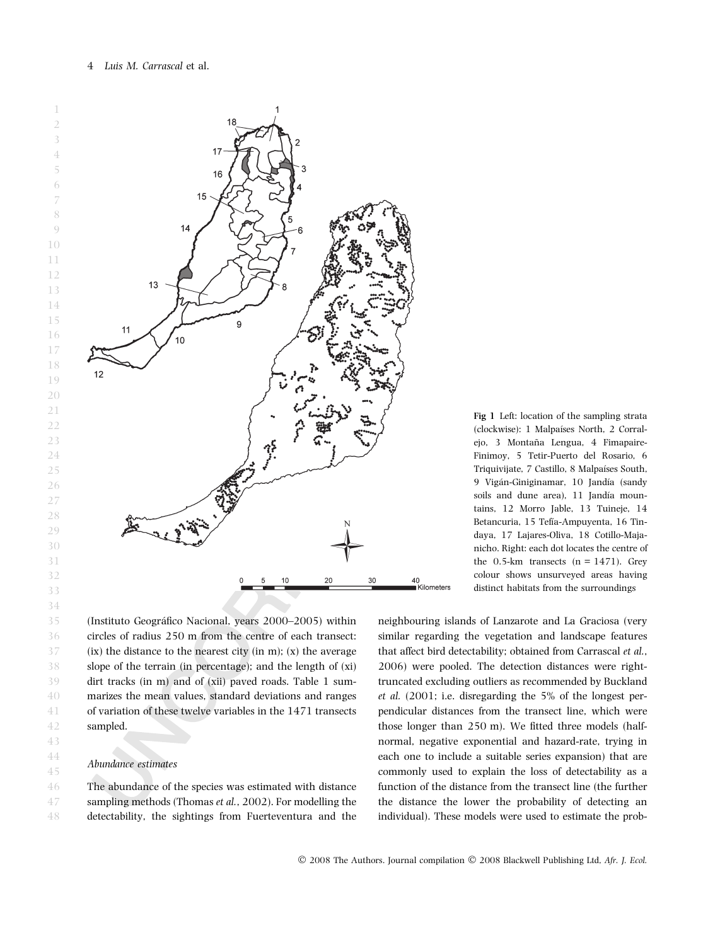



(Instituto Geográfico Nacional, years 2000–2005) within circles of radius 250 m from the centre of each transect:  $(ix)$  the distance to the nearest city (in m);  $(x)$  the average slope of the terrain (in percentage); and the length of (xi) dirt tracks (in m) and of (xii) paved roads. Table 1 summarizes the mean values, standard deviations and ranges of variation of these twelve variables in the 1471 transects sampled.

# Abundance estimates

The abundance of the species was estimated with distance sampling methods (Thomas et al., 2002). For modelling the detectability, the sightings from Fuerteventura and the 46 47 48

Fig 1 Left: location of the sampling strata (clockwise): 1 Malpaı´ses North, 2 Corralejo, 3 Montaña Lengua, 4 Fimapaire-Finimoy, 5 Tetir-Puerto del Rosario, 6 Triquivijate, 7 Castillo, 8 Malpaíses South, 9 Vigán-Giniginamar, 10 Jandía (sandy soils and dune area), 11 Jandía mountains, 12 Morro Jable, 13 Tuineje, 14 Betancuria, 15 Tefía-Ampuyenta, 16 Tindaya, 17 Lajares-Oliva, 18 Cotillo-Majanicho. Right: each dot locates the centre of the  $0.5$ -km transects  $(n = 1471)$ . Grey colour shows unsurveyed areas having distinct habitats from the surroundings

neighbouring islands of Lanzarote and La Graciosa (very similar regarding the vegetation and landscape features that affect bird detectability; obtained from Carrascal et al., 2006) were pooled. The detection distances were righttruncated excluding outliers as recommended by Buckland et al. (2001; i.e. disregarding the 5% of the longest perpendicular distances from the transect line, which were those longer than 250 m). We fitted three models (halfnormal, negative exponential and hazard-rate, trying in each one to include a suitable series expansion) that are commonly used to explain the loss of detectability as a function of the distance from the transect line (the further the distance the lower the probability of detecting an individual). These models were used to estimate the prob-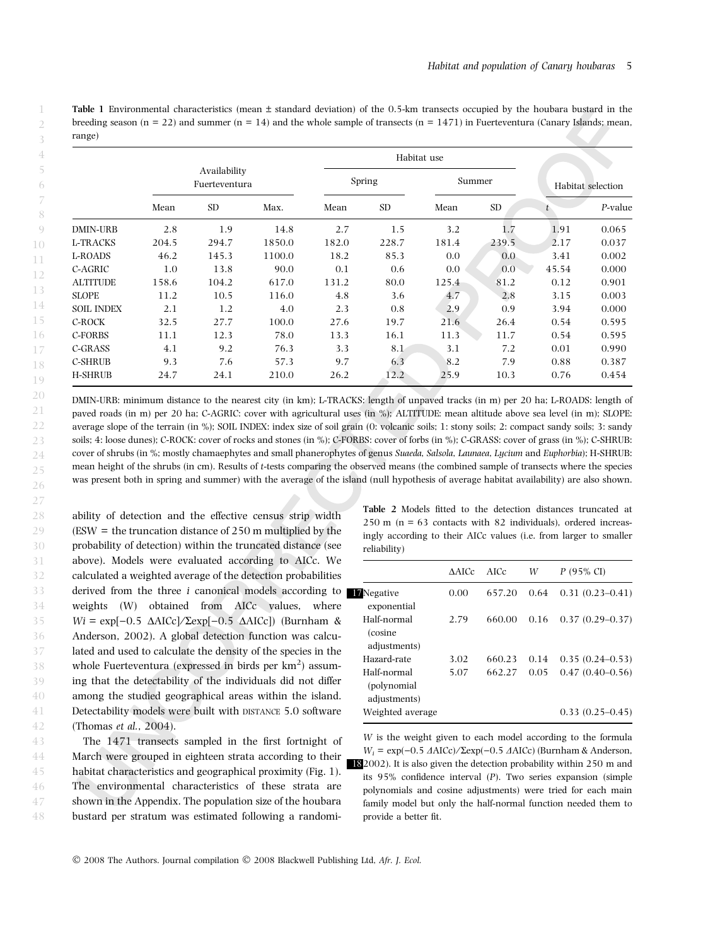Table 1 Environmental characteristics (mean ± standard deviation) of the 0.5-km transects occupied by the houbara bustard in the breeding season (n = 22) and summer (n = 14) and the whole sample of transects (n = 1471) in Fuerteventura (Canary Islands; mean, range)

|                   |       |                               |        |       |           | Habitat use |           |                   |            |
|-------------------|-------|-------------------------------|--------|-------|-----------|-------------|-----------|-------------------|------------|
|                   |       | Availability<br>Fuerteventura |        |       | Spring    | Summer      |           | Habitat selection |            |
|                   | Mean  | <b>SD</b>                     | Max.   | Mean  | <b>SD</b> | Mean        | <b>SD</b> | $t_{\parallel}$   | $P$ -value |
| <b>DMIN-URB</b>   | 2.8   | 1.9                           | 14.8   | 2.7   | 1.5       | 3.2         | 1.7       | 1.91              | 0.065      |
| L-TRACKS          | 204.5 | 294.7                         | 1850.0 | 182.0 | 228.7     | 181.4       | 239.5     | 2.17              | 0.037      |
| L-ROADS           | 46.2  | 145.3                         | 1100.0 | 18.2  | 85.3      | 0.0         | 0.0       | 3.41              | 0.002      |
| C-AGRIC           | 1.0   | 13.8                          | 90.0   | 0.1   | 0.6       | 0.0         | 0.0       | 45.54             | 0.000      |
| <b>ALTITUDE</b>   | 158.6 | 104.2                         | 617.0  | 131.2 | 80.0      | 125.4       | 81.2      | 0.12              | 0.901      |
| <b>SLOPE</b>      | 11.2  | 10.5                          | 116.0  | 4.8   | 3.6       | 4.7         | 2.8       | 3.15              | 0.003      |
| <b>SOIL INDEX</b> | 2.1   | 1.2                           | 4.0    | 2.3   | 0.8       | 2.9         | 0.9       | 3.94              | 0.000      |
| C-ROCK            | 32.5  | 27.7                          | 100.0  | 27.6  | 19.7      | 21.6        | 26.4      | 0.54              | 0.595      |
| C-FORBS           | 11.1  | 12.3                          | 78.0   | 13.3  | 16.1      | 11.3        | 11.7      | 0.54              | 0.595      |
| C-GRASS           | 4.1   | 9.2                           | 76.3   | 3.3   | 8.1       | 3.1         | 7.2       | 0.01              | 0.990      |
| <b>C-SHRUB</b>    | 9.3   | 7.6                           | 57.3   | 9.7   | 6.3       | 8.2         | 7.9       | 0.88              | 0.387      |
| <b>H-SHRUB</b>    | 24.7  | 24.1                          | 210.0  | 26.2  | 12.2      | 25.9        | 10.3      | 0.76              | 0.454      |

DMIN-URB: minimum distance to the nearest city (in km); L-TRACKS: length of unpaved tracks (in m) per 20 ha; L-ROADS: length of paved roads (in m) per 20 ha; C-AGRIC: cover with agricultural uses (in %); ALTITUDE: mean altitude above sea level (in m); SLOPE: average slope of the terrain (in %); SOIL INDEX: index size of soil grain (0: volcanic soils; 1: stony soils; 2: compact sandy soils; 3: sandy soils; 4: loose dunes); C-ROCK: cover of rocks and stones (in %); C-FORBS: cover of forbs (in %); C-GRASS: cover of grass (in %); C-SHRUB: cover of shrubs (in %; mostly chamaephytes and small phanerophytes of genus Suaeda, Salsola, Launaea, Lycium and Euphorbia); H-SHRUB: mean height of the shrubs (in cm). Results of t-tests comparing the observed means (the combined sample of transects where the species was present both in spring and summer) with the average of the island (null hypothesis of average habitat availability) are also shown.

ability of detection and the effective census strip width (ESW = the truncation distance of 250 m multiplied by the probability of detection) within the truncated distance (see above). Models were evaluated according to AICc. We calculated a weighted average of the detection probabilities derived from the three *i* canonical models according to weights (W) obtained from AICc values, where  $Wi = \exp[-0.5 \Delta AICc]/\Sigma \exp[-0.5 \Delta AICc])$  (Burnham & Anderson, 2002). A global detection function was calculated and used to calculate the density of the species in the whole Fuerteventura (expressed in birds per  $km^2$ ) assuming that the detectability of the individuals did not differ among the studied geographical areas within the island. Detectability models were built with DISTANCE 5.0 software (Thomas et al., 2004).

The 1471 transects sampled in the first fortnight of March were grouped in eighteen strata according to their habitat characteristics and geographical proximity (Fig. 1). The environmental characteristics of these strata are shown in the Appendix. The population size of the houbara bustard per stratum was estimated following a randomi-48

Table 2 Models fitted to the detection distances truncated at  $250$  m (n = 63 contacts with 82 individuals), ordered increasingly according to their AICc values (i.e. from larger to smaller reliability)

|                                             | AAICc | - AICc | W    | $P(95\% \text{ CI})$ |
|---------------------------------------------|-------|--------|------|----------------------|
| <i>Negative</i><br>exponential              | 0.00  | 657.20 | 0.64 | $0.31(0.23 - 0.41)$  |
| Half-normal<br>(cosine)                     | 2.79  | 660.00 | 0.16 | $0.37(0.29 - 0.37)$  |
| adjustments)                                |       |        |      |                      |
| Hazard-rate                                 | 3.02  | 660.23 | 0.14 | $0.35(0.24 - 0.53)$  |
| Half-normal<br>(polynomial)<br>adjustments) | 5.07  | 662.27 | 0.05 | $0.47(0.40-0.56)$    |
| Weighted average                            |       |        |      | $0.33(0.25-0.45)$    |
|                                             |       |        |      |                      |

W is the weight given to each model according to the formula  $W_i = \exp(-0.5 \ \text{\textsterling}AICc) / \Sigma \exp(-0.5 \ \text{\textsterling}AICc)$  (Burnham & Anderson, 182002). It is also given the detection probability within 250 m and its 95% confidence interval (P). Two series expansion (simple polynomials and cosine adjustments) were tried for each main family model but only the half-normal function needed them to provide a better fit.

© 2008 The Authors. Journal compilation © 2008 Blackwell Publishing Ltd, Afr. J. Ecol.

47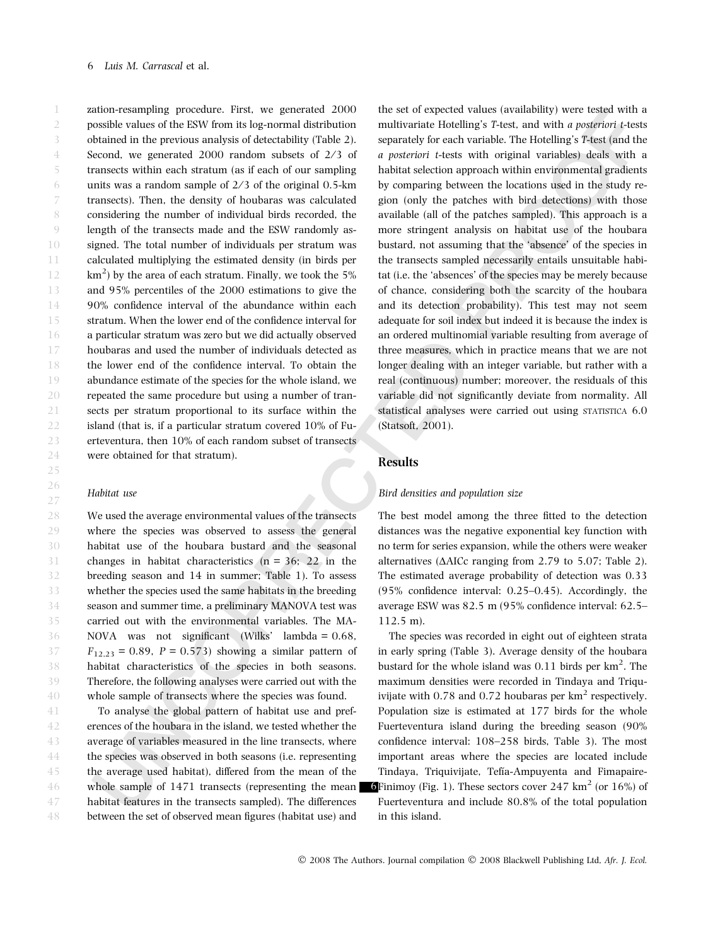zation-resampling procedure. First, we generated 2000 possible values of the ESW from its log-normal distribution obtained in the previous analysis of detectability (Table 2). Second, we generated  $2000$  random subsets of  $2/3$  of transects within each stratum (as if each of our sampling units was a random sample of  $2/3$  of the original 0.5-km transects). Then, the density of houbaras was calculated considering the number of individual birds recorded, the length of the transects made and the ESW randomly assigned. The total number of individuals per stratum was calculated multiplying the estimated density (in birds per km $^2$ ) by the area of each stratum. Finally, we took the 5% and 95% percentiles of the 2000 estimations to give the 90% confidence interval of the abundance within each stratum. When the lower end of the confidence interval for a particular stratum was zero but we did actually observed houbaras and used the number of individuals detected as the lower end of the confidence interval. To obtain the abundance estimate of the species for the whole island, we repeated the same procedure but using a number of transects per stratum proportional to its surface within the island (that is, if a particular stratum covered 10% of Fuerteventura, then 10% of each random subset of transects were obtained for that stratum). 1 2 3 4 5 6 7 8 9 10 11 12 13 14 15 16 17 18 19 20 21 22 23 24 25

#### Habitat use

26 27

We used the average environmental values of the transects where the species was observed to assess the general habitat use of the houbara bustard and the seasonal changes in habitat characteristics  $(n = 36, 22)$  in the breeding season and 14 in summer; Table 1). To assess whether the species used the same habitats in the breeding season and summer time, a preliminary MANOVA test was carried out with the environmental variables. The MA-NOVA was not significant (Wilks' lambda = 0.68,  $F_{12,23} = 0.89$ ,  $P = 0.573$ ) showing a similar pattern of habitat characteristics of the species in both seasons. Therefore, the following analyses were carried out with the whole sample of transects where the species was found. 28 29 30 31 32 33 34 35 36 37 38 39 40

To analyse the global pattern of habitat use and preferences of the houbara in the island, we tested whether the average of variables measured in the line transects, where the species was observed in both seasons (i.e. representing the average used habitat), differed from the mean of the whole sample of 1471 transects (representing the mean habitat features in the transects sampled). The differences between the set of observed mean figures (habitat use) and 41 42 43 44 45 46 47 48

the set of expected values (availability) were tested with a multivariate Hotelling's T-test, and with a posteriori t-tests separately for each variable. The Hotelling's T-test (and the a posteriori t-tests with original variables) deals with a habitat selection approach within environmental gradients by comparing between the locations used in the study region (only the patches with bird detections) with those available (all of the patches sampled). This approach is a more stringent analysis on habitat use of the houbara bustard, not assuming that the 'absence' of the species in the transects sampled necessarily entails unsuitable habitat (i.e. the 'absences' of the species may be merely because of chance, considering both the scarcity of the houbara and its detection probability). This test may not seem adequate for soil index but indeed it is because the index is an ordered multinomial variable resulting from average of three measures, which in practice means that we are not longer dealing with an integer variable, but rather with a real (continuous) number; moreover, the residuals of this variable did not significantly deviate from normality. All statistical analyses were carried out using STATISTICA 6.0 (Statsoft, 2001).

## Results

#### Bird densities and population size

The best model among the three fitted to the detection distances was the negative exponential key function with no term for series expansion, while the others were weaker alternatives ( $\triangle$ AICc ranging from 2.79 to 5.07; Table 2). The estimated average probability of detection was 0.33 (95% confidence interval: 0.25–0.45). Accordingly, the average ESW was 82.5 m (95% confidence interval: 62.5– 112.5 m).

The species was recorded in eight out of eighteen strata in early spring (Table 3). Average density of the houbara bustard for the whole island was  $0.11$  birds per  $km<sup>2</sup>$ . The maximum densities were recorded in Tindaya and Triquivijate with  $0.78$  and  $0.72$  houbaras per  $km^2$  respectively. Population size is estimated at 177 birds for the whole Fuerteventura island during the breeding season (90% confidence interval: 108–258 birds, Table 3). The most important areas where the species are located include Tindaya, Triquivijate, Tefía-Ampuyenta and Fimapaire-**6**Finimoy (Fig. 1). These sectors cover 247  $\text{km}^2$  (or 16%) of Fuerteventura and include 80.8% of the total population in this island.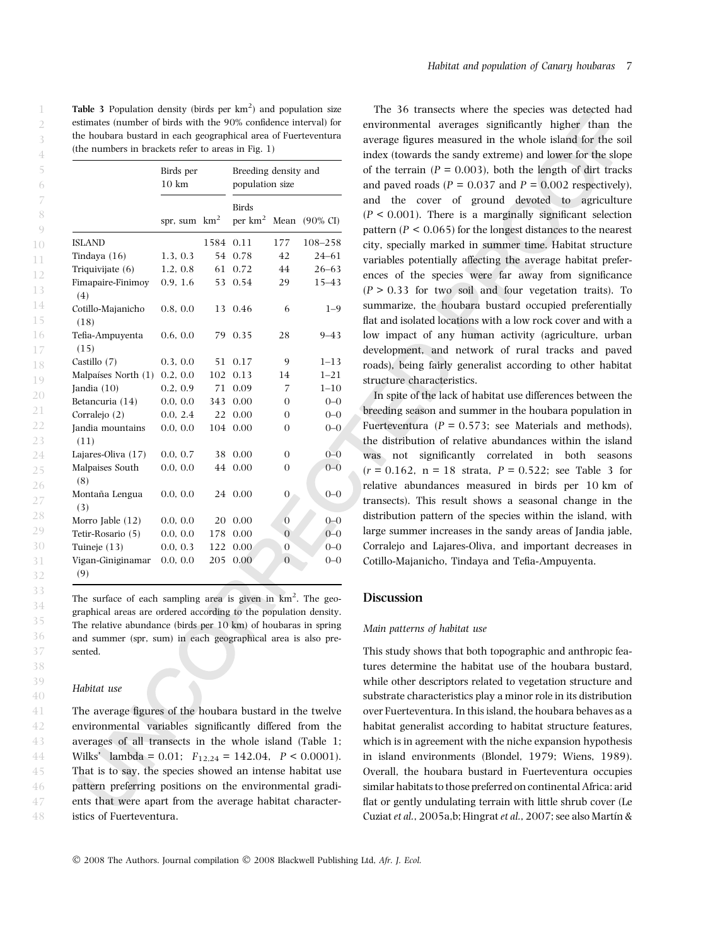**Table 3** Population density (birds per  $km^2$ ) and population size estimates (number of birds with the 90% confidence interval) for the houbara bustard in each geographical area of Fuerteventura (the numbers in brackets refer to areas in Fig. 1)

|                           | Birds per<br>$10 \text{ km}$ |                 | Breeding density and<br>population size |                  |                     |
|---------------------------|------------------------------|-----------------|-----------------------------------------|------------------|---------------------|
|                           | spr, sum                     | km <sup>2</sup> | <b>Birds</b><br>per $km2$               | Mean             | $(90\% \text{ CI})$ |
| <b>ISLAND</b>             |                              | 1584            | 0.11                                    | 177              | 108-258             |
| Tindaya $(16)$            | 1.3, 0.3                     | 54              | 0.78                                    | 42               | $24 - 61$           |
| Triquivijate (6)          | 1.2, 0.8                     | 61              | 0.72                                    | 44               | $26 - 63$           |
| Fimapaire-Finimoy<br>(4)  | 0.9, 1.6                     | 53              | 0.54                                    | 29               | $15 - 43$           |
| Cotillo-Majanicho<br>(18) | 0.8, 0.0                     | 13              | 0.46                                    | 6                | $1 - 9$             |
| Tefia-Ampuyenta<br>(15)   | 0.6, 0.0                     | 79              | 0.35                                    | 28               | $9 - 43$            |
| Castillo (7)              | 0.3, 0.0                     | 51              | 0.17                                    | 9                | $1 - 13$            |
| Malpaíses North (1)       | 0.2.0.0                      | 102             | 0.13                                    | 14               | $1 - 21$            |
| Jandia $(10)$             | 0.2, 0.9                     | 71              | 0.09                                    | 7                | $1 - 10$            |
| Betancuria (14)           | 0.0, 0.0                     | 343             | 0.00                                    | 0                | $0 - 0$             |
| Corralejo (2)             | 0.0.2.4                      | 22              | 0.00                                    | 0                | $0 - 0$             |
| Jandia mountains<br>(11)  | 0.0, 0.0                     | 104             | 0.00                                    | $\Omega$         | $0 - 0$             |
| Lajares-Oliva (17)        | 0.0, 0.7                     | 38              | 0.00                                    | $\Omega$         | $0 - 0$             |
| Malpaises South<br>(8)    | 0.0, 0.0                     | 44              | 0.00                                    | $\Omega$         | $0 - 0$             |
| Montaña Lengua<br>(3)     | 0.0, 0.0                     | 24              | 0.00                                    | $\overline{0}$   | $0 - 0$             |
| Morro Jable (12)          | 0.0, 0.0                     | 20              | 0.00                                    | $\overline{0}$   | $0 - 0$             |
| Tetir-Rosario (5)         | 0.0, 0.0                     | 178             | 0.00                                    | $\overline{0}$   | $0 - 0$             |
| Tuineje $(13)$            | 0.0, 0.3                     | 122             | 0.00                                    | $\boldsymbol{0}$ | $0 - 0$             |
| Vigan-Giniginamar<br>(9)  | 0.0, 0.0                     | 205             | 0.00                                    | $\overline{0}$   | $0 - 0$             |

The surface of each sampling area is given in  $km^2$ . The geographical areas are ordered according to the population density. The relative abundance (birds per 10 km) of houbaras in spring and summer (spr, sum) in each geographical area is also presented.

#### Habitat use

The average figures of the houbara bustard in the twelve environmental variables significantly differed from the averages of all transects in the whole island (Table 1; Wilks' lambda = 0.01;  $F_{12,24} = 142.04$ ,  $P < 0.0001$ ). That is to say, the species showed an intense habitat use pattern preferring positions on the environmental gradients that were apart from the average habitat characteristics of Fuerteventura.

The 36 transects where the species was detected had environmental averages significantly higher than the average figures measured in the whole island for the soil index (towards the sandy extreme) and lower for the slope of the terrain ( $P = 0.003$ ), both the length of dirt tracks and paved roads ( $P = 0.037$  and  $P = 0.002$  respectively), and the cover of ground devoted to agriculture  $(P < 0.001)$ . There is a marginally significant selection pattern ( $P < 0.065$ ) for the longest distances to the nearest city, specially marked in summer time. Habitat structure variables potentially affecting the average habitat preferences of the species were far away from significance  $(P > 0.33$  for two soil and four vegetation traits). To summarize, the houbara bustard occupied preferentially flat and isolated locations with a low rock cover and with a low impact of any human activity (agriculture, urban development, and network of rural tracks and paved roads), being fairly generalist according to other habitat structure characteristics.

In spite of the lack of habitat use differences between the breeding season and summer in the houbara population in Fuerteventura ( $P = 0.573$ ; see Materials and methods), the distribution of relative abundances within the island was not significantly correlated in both seasons  $(r = 0.162, n = 18$  strata,  $P = 0.522$ ; see Table 3 for relative abundances measured in birds per 10 km of transects). This result shows a seasonal change in the distribution pattern of the species within the island, with large summer increases in the sandy areas of Jandia jable, Corralejo and Lajares-Oliva, and important decreases in Cotillo-Majanicho, Tindaya and Tefia-Ampuyenta.

## Discussion

#### Main patterns of habitat use

This study shows that both topographic and anthropic features determine the habitat use of the houbara bustard, while other descriptors related to vegetation structure and substrate characteristics play a minor role in its distribution over Fuerteventura. In this island, the houbara behaves as a habitat generalist according to habitat structure features, which is in agreement with the niche expansion hypothesis in island environments (Blondel, 1979; Wiens, 1989). Overall, the houbara bustard in Fuerteventura occupies similar habitats to those preferred on continental Africa: arid flat or gently undulating terrain with little shrub cover (Le Cuziat et al., 2005a,b; Hingrat et al., 2007; see also Martín &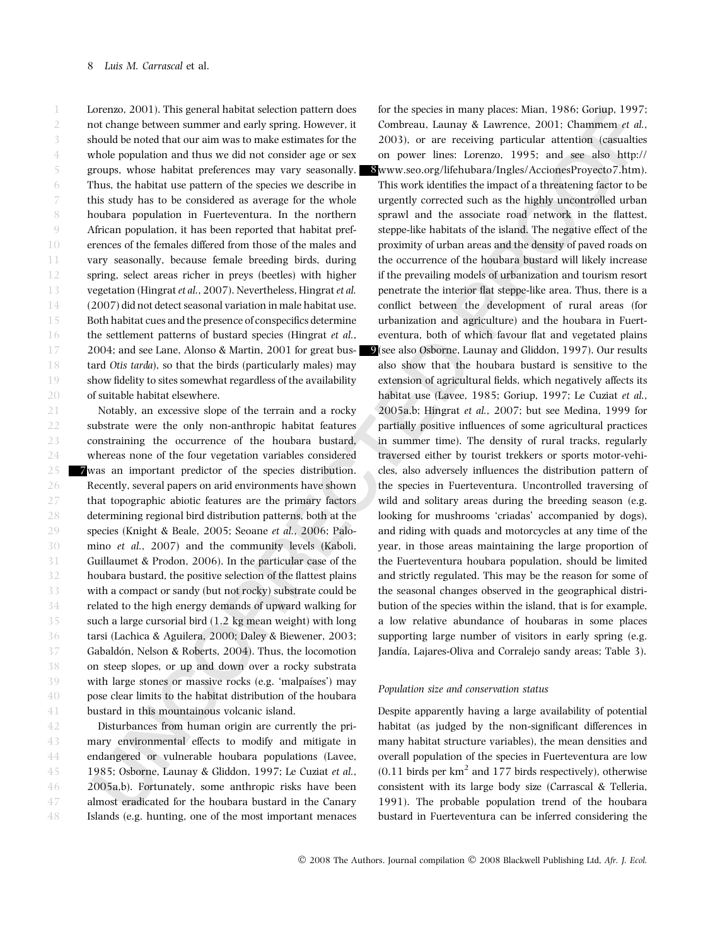Lorenzo, 2001). This general habitat selection pattern does not change between summer and early spring. However, it should be noted that our aim was to make estimates for the whole population and thus we did not consider age or sex groups, whose habitat preferences may vary seasonally. Thus, the habitat use pattern of the species we describe in this study has to be considered as average for the whole houbara population in Fuerteventura. In the northern African population, it has been reported that habitat preferences of the females differed from those of the males and vary seasonally, because female breeding birds, during spring, select areas richer in preys (beetles) with higher vegetation (Hingrat et al., 2007). Nevertheless, Hingrat et al. (2007) did not detect seasonal variation in male habitat use. Both habitat cues and the presence of conspecifics determine the settlement patterns of bustard species (Hingrat et al., 2004; and see Lane, Alonso & Martin, 2001 for great bustard Otis tarda), so that the birds (particularly males) may show fidelity to sites somewhat regardless of the availability of suitable habitat elsewhere. 1 2 3 4 5 6 7 8 9 10 11 12 13 14 15 16 17 18 19 20

Notably, an excessive slope of the terrain and a rocky substrate were the only non-anthropic habitat features constraining the occurrence of the houbara bustard, whereas none of the four vegetation variables considered 7was an important predictor of the species distribution. Recently, several papers on arid environments have shown that topographic abiotic features are the primary factors determining regional bird distribution patterns, both at the species (Knight & Beale, 2005; Seoane et al., 2006; Palomino et al., 2007) and the community levels (Kaboli, Guillaumet & Prodon, 2006). In the particular case of the houbara bustard, the positive selection of the flattest plains with a compact or sandy (but not rocky) substrate could be related to the high energy demands of upward walking for such a large cursorial bird (1.2 kg mean weight) with long tarsi (Lachica & Aguilera, 2000; Daley & Biewener, 2003; Gabaldón, Nelson & Roberts, 2004). Thus, the locomotion on steep slopes, or up and down over a rocky substrata with large stones or massive rocks (e.g. 'malpaíses') may pose clear limits to the habitat distribution of the houbara bustard in this mountainous volcanic island. 21 22 23 24 25 26 27 28 29 30 31 32 33 34 35 36 37 38 39 40 41

Disturbances from human origin are currently the primary environmental effects to modify and mitigate in endangered or vulnerable houbara populations (Lavee, 1985; Osborne, Launay & Gliddon, 1997; Le Cuziat et al., 2005a,b). Fortunately, some anthropic risks have been almost eradicated for the houbara bustard in the Canary Islands (e.g. hunting, one of the most important menaces 42 43 44 45 46 47 48

for the species in many places: Mian, 1986; Goriup, 1997; Combreau, Launay & Lawrence, 2001; Chammem et al., 2003), or are receiving particular attention (casualties on power lines: Lorenzo, 1995; and see also http://

8www.seo.org/lifehubara/Ingles/AccionesProyecto7.htm). This work identifies the impact of a threatening factor to be urgently corrected such as the highly uncontrolled urban sprawl and the associate road network in the flattest, steppe-like habitats of the island. The negative effect of the proximity of urban areas and the density of paved roads on the occurrence of the houbara bustard will likely increase if the prevailing models of urbanization and tourism resort penetrate the interior flat steppe-like area. Thus, there is a conflict between the development of rural areas (for urbanization and agriculture) and the houbara in Fuerteventura, both of which favour flat and vegetated plains 9(see also Osborne, Launay and Gliddon, 1997). Our results also show that the houbara bustard is sensitive to the extension of agricultural fields, which negatively affects its habitat use (Lavee, 1985; Goriup, 1997; Le Cuziat et al., 2005a,b; Hingrat et al., 2007; but see Medina, 1999 for partially positive influences of some agricultural practices in summer time). The density of rural tracks, regularly traversed either by tourist trekkers or sports motor-vehicles, also adversely influences the distribution pattern of the species in Fuerteventura. Uncontrolled traversing of wild and solitary areas during the breeding season (e.g. looking for mushrooms 'criadas' accompanied by dogs), and riding with quads and motorcycles at any time of the year, in those areas maintaining the large proportion of the Fuerteventura houbara population, should be limited and strictly regulated. This may be the reason for some of the seasonal changes observed in the geographical distribution of the species within the island, that is for example, a low relative abundance of houbaras in some places supporting large number of visitors in early spring (e.g. Jandía, Lajares-Oliva and Corralejo sandy areas; Table 3).

#### Population size and conservation status

Despite apparently having a large availability of potential habitat (as judged by the non-significant differences in many habitat structure variables), the mean densities and overall population of the species in Fuerteventura are low  $(0.11$  birds per km<sup>2</sup> and 177 birds respectively), otherwise consistent with its large body size (Carrascal & Telleria, 1991). The probable population trend of the houbara bustard in Fuerteventura can be inferred considering the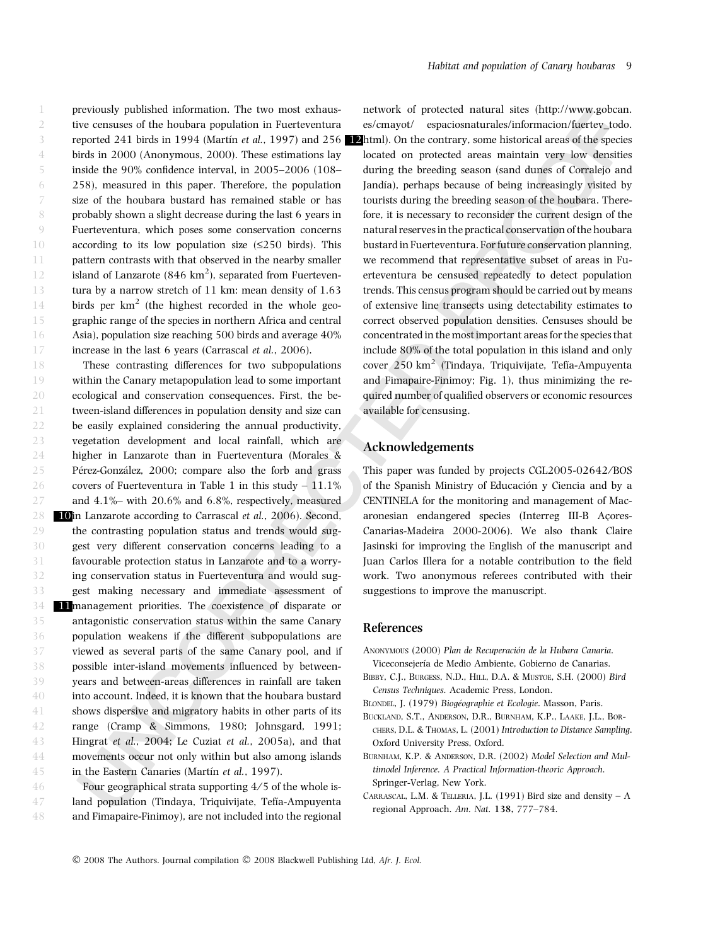previously published information. The two most exhaustive censuses of the houbara population in Fuerteventura reported 241 birds in 1994 (Martín et al., 1997) and 256 birds in 2000 (Anonymous, 2000). These estimations lay inside the 90% confidence interval, in 2005–2006 (108– 258), measured in this paper. Therefore, the population size of the houbara bustard has remained stable or has probably shown a slight decrease during the last 6 years in

Fuerteventura, which poses some conservation concerns according to its low population size  $(\leq 250$  birds). This pattern contrasts with that observed in the nearby smaller island of Lanzarote  $(846 \text{ km}^2)$ , separated from Fuerteventura by a narrow stretch of 11 km: mean density of 1.63 birds per  $km^2$  (the highest recorded in the whole geographic range of the species in northern Africa and central Asia), population size reaching 500 birds and average 40% 9 10 11 12 13 14 15 16

46 47 48

increase in the last 6 years (Carrascal et al., 2006). These contrasting differences for two subpopulations within the Canary metapopulation lead to some important ecological and conservation consequences. First, the between-island differences in population density and size can be easily explained considering the annual productivity, vegetation development and local rainfall, which are higher in Lanzarote than in Fuerteventura (Morales & Pérez-González, 2000; compare also the forb and grass covers of Fuerteventura in Table 1 in this study  $-11.1\%$ and 4.1%– with 20.6% and 6.8%, respectively, measured 10in Lanzarote according to Carrascal et al., 2006). Second, the contrasting population status and trends would suggest very different conservation concerns leading to a favourable protection status in Lanzarote and to a worrying conservation status in Fuerteventura and would suggest making necessary and immediate assessment of 11management priorities. The coexistence of disparate or antagonistic conservation status within the same Canary population weakens if the different subpopulations are viewed as several parts of the same Canary pool, and if possible inter-island movements influenced by betweenyears and between-areas differences in rainfall are taken into account. Indeed, it is known that the houbara bustard shows dispersive and migratory habits in other parts of its range (Cramp & Simmons, 1980; Johnsgard, 1991; Hingrat et al., 2004; Le Cuziat et al., 2005a), and that movements occur not only within but also among islands in the Eastern Canaries (Martín et al., 1997). 17 18 19 20 21 22 23 24 25 26 27 28 29 30 31 32 33 34 35 36 37 38 39 40 41 42 43 44 45

Four geographical strata supporting  $4/5$  of the whole island population (Tindaya, Triquivijate, Tefía-Ampuyenta and Fimapaire-Finimoy), are not included into the regional

network of protected natural sites (http://www.gobcan. es/cmayot/ espaciosnaturales/informacion/fuertev\_todo. **2**html). On the contrary, some historical areas of the species located on protected areas maintain very low densities during the breeding season (sand dunes of Corralejo and Jandía), perhaps because of being increasingly visited by tourists during the breeding season of the houbara. Therefore, it is necessary to reconsider the current design of the natural reserves in the practical conservation of the houbara bustard in Fuerteventura. For future conservation planning, we recommend that representative subset of areas in Fuerteventura be censused repeatedly to detect population trends. This census program should be carried out by means of extensive line transects using detectability estimates to correct observed population densities. Censuses should be concentrated in the most important areas for the species that include 80% of the total population in this island and only cover 250 km<sup>2</sup> (Tindaya, Triquivijate, Tefía-Ampuyenta and Fimapaire-Finimoy; Fig. 1), thus minimizing the required number of qualified observers or economic resources available for censusing.

## Acknowledgements

This paper was funded by projects CGL2005-02642/BOS of the Spanish Ministry of Educación y Ciencia and by a CENTINELA for the monitoring and management of Macaronesian endangered species (Interreg III-B Acores-Canarias-Madeira 2000-2006). We also thank Claire Jasinski for improving the English of the manuscript and Juan Carlos Illera for a notable contribution to the field work. Two anonymous referees contributed with their suggestions to improve the manuscript.

## References

- ANONYMOUS (2000) Plan de Recuperación de la Hubara Canaria. Viceconsejería de Medio Ambiente, Gobierno de Canarias.
- Bibby, C.J., Burgess, N.D., Hill, D.A. & Mustoe, S.H. (2000) Bird Census Techniques. Academic Press, London.
- BLONDEL, J. (1979) Biogéographie et Ecologie. Masson, Paris.
- Buckland, S.T., Anderson, D.R., Burnham, K.P., Laake, J.L., Borchers, D.L. & Thomas, L. (2001) Introduction to Distance Sampling. Oxford University Press, Oxford.
- Burnham, K.P. & Anderson, D.R. (2002) Model Selection and Multimodel Inference. A Practical Information-theoric Approach. Springer-Verlag, New York.
- CARRASCAL, L.M. & TELLERIA, J.L. (1991) Bird size and density  $A$ regional Approach. Am. Nat. 138, 777–784.

© 2008 The Authors. Journal compilation © 2008 Blackwell Publishing Ltd, Afr. J. Ecol.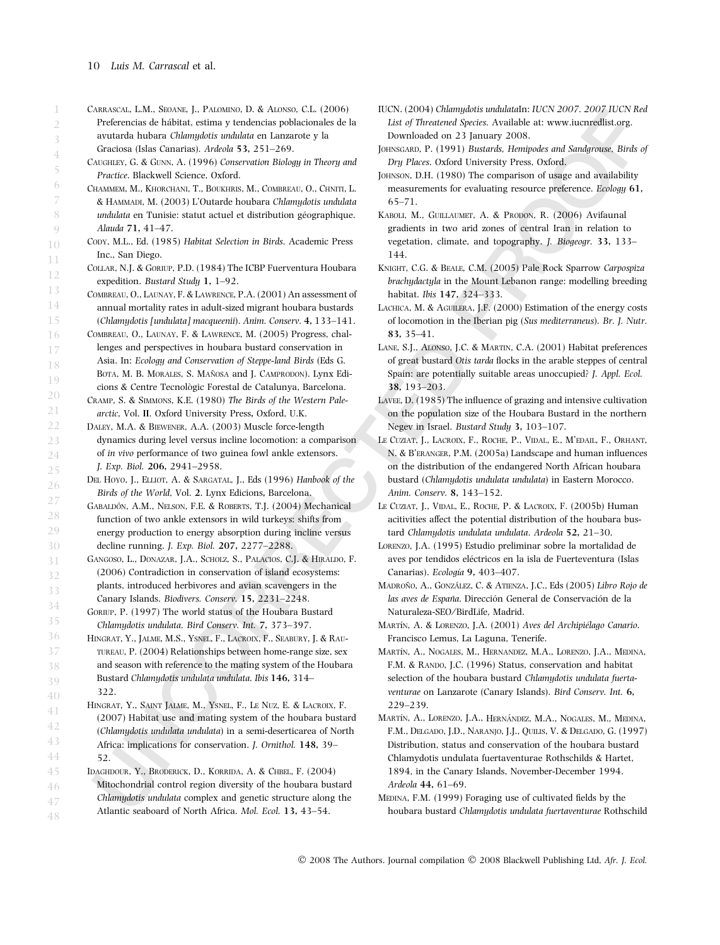- Carrascal, L.M., Seoane, J., Palomino, D. & Alonso, C.L. (2006) Preferencias de hábitat, estima y tendencias poblacionales de la avutarda hubara Chlamydotis undulata en Lanzarote y la
- Graciosa (Islas Canarias). Ardeola 53, 251–269.
- Caughley, G. & Gunn, A. (1996) Conservation Biology in Theory and Practice. Blackwell Science, Oxford.
- Chammem, M., Khorchani, T., Boukhris, M., Combreau, O., Chniti, L. & Hammadi, M. (2003) L'Outarde houbara Chlamydotis undulata undulata en Tunisie: statut actuel et distribution géographique. Alauda 71, 41–47.
- CODY, M.L., Ed. (1985) Habitat Selection in Birds. Academic Press Inc., San Diego.
- Collar, N.J. & Goriup, P.D. (1984) The ICBP Fuerventura Houbara expedition. Bustard Study 1, 1–92.
- Combreau, O., Launay, F. & Lawrence, P.A. (2001) An assessment of annual mortality rates in adult-sized migrant houbara bustards (Chlamydotis [undulata] macqueenii). Anim. Conserv. 4, 133–141.
- Combreau, O., Launay, F. & Lawrence, M. (2005) Progress, challenges and perspectives in houbara bustard conservation in Asia. In: Ecology and Conservation of Steppe-land Birds (Eds G.
- BOTA, M. B. MORALES, S. MAÑOSA and J. CAMPRODON). Lynx Edi-
- cions & Centre Tecnològic Forestal de Catalunya, Barcelona.
- Cramp, S. & Simmons, K.E. (1980) The Birds of the Western Palearctic, Vol. II. Oxford University Press, Oxford, U.K.
- Daley, M.A. & Biewener, A.A. (2003) Muscle force-length dynamics during level versus incline locomotion: a comparison of in vivo performance of two guinea fowl ankle extensors. J. Exp. Biol. 206, 2941–2958.
	- DEL HOYO, J., ELLIOT, A. & SARGATAL, J., Eds (1996) Hanbook of the Birds of the World, Vol. 2. Lynx Edicions, Barcelona.
- GABALDÓN, A.M., NELSON, F.E. & ROBERTS, T.J. (2004) Mechanical function of two ankle extensors in wild turkeys: shifts from energy production to energy absorption during incline versus decline running. J. Exp. Biol. 207, 2277–2288.
- Gangoso, L., Donazar, J.A., Scholz, S., Palacios, C.J. & Hiraldo, F. (2006) Contradiction in conservation of island ecosystems: plants, introduced herbivores and avian scavengers in the Canary Islands. Biodivers. Conserv. 15, 2231–2248.
	- Goriup, P. (1997) The world status of the Houbara Bustard Chlamydotis undulata. Bird Conserv. Int. 7, 373–397.
- HINGRAT, Y., JALME, M.S., YSNEL, F., LACROIX, F., SEABURY, J. & RAUtureau, P. (2004) Relationships between home-range size, sex and season with reference to the mating system of the Houbara Bustard Chlamydotis undulata undulata. Ibis 146, 314– 322.
- HINGRAT, Y., SAINT JALME, M., YSNEL, F., LE NUZ, E. & LACROIX, F. (2007) Habitat use and mating system of the houbara bustard (Chlamydotis undulata undulata) in a semi-deserticarea of North Africa: implications for conservation. J. Ornithol. 148, 39– 52.
- Idaghdour, Y., Broderick, D., Korrida, A. & Chbel, F. (2004) Mitochondrial control region diversity of the houbara bustard Chlamydotis undulata complex and genetic structure along the Atlantic seaboard of North Africa. Mol. Ecol. 13, 43–54. 46 47 48
- IUCN. (2004) Chlamydotis undulataIn: IUCN 2007. 2007 IUCN Red List of Threatened Species. Available at: www.iucnredlist.org. Downloaded on 23 January 2008.
- JOHNSGARD, P. (1991) Bustards, Hemipodes and Sandgrouse, Birds of Dry Places. Oxford University Press, Oxford.
- JOHNSON, D.H. (1980) The comparison of usage and availability measurements for evaluating resource preference. Ecology 61, 65–71.
- KABOLI, M., GUILLAUMET, A. & PRODON, R. (2006) Avifaunal gradients in two arid zones of central Iran in relation to vegetation, climate, and topography. J. Biogeogr. 33, 133– 144.
- Knight, C.G. & Beale, C.M. (2005) Pale Rock Sparrow Carpospiza brachydactyla in the Mount Lebanon range: modelling breeding habitat. Ibis 147, 324–333.
- LACHICA, M. & AGUILERA, J.F. (2000) Estimation of the energy costs of locomotion in the Iberian pig (Sus mediterraneus). Br. J. Nutr. 83, 35–41.
- Lane, S.J., Alonso, J.C. & Martin, C.A. (2001) Habitat preferences of great bustard Otis tarda flocks in the arable steppes of central Spain: are potentially suitable areas unoccupied? J. Appl. Ecol. 38, 193–203.
- Lavee, D. (1985) The influence of grazing and intensive cultivation on the population size of the Houbara Bustard in the northern Negev in Israel. Bustard Study 3, 103–107.
- LE CUZIAT, J., LACROIX, F., ROCHE, P., VIDAL, E., M'EDAIL, F., ORHANT, N. & B'eranger, P.M. (2005a) Landscape and human influences on the distribution of the endangered North African houbara bustard (Chlamydotis undulata undulata) in Eastern Morocco. Anim. Conserv. 8, 143–152.
- LE CUZIAT, J., VIDAL, E., ROCHE, P. & LACROIX, F. (2005b) Human acitivities affect the potential distribution of the houbara bustard Chlamydotis undulata undulata. Ardeola 52, 21–30.
- Lorenzo, J.A. (1995) Estudio preliminar sobre la mortalidad de aves por tendidos eléctricos en la isla de Fuerteventura (Islas Canarias). Ecología 9, 403-407.
- MADROÑO, A., GONZÁLEZ, C. & ATIENZA, J.C., Eds (2005) Libro Rojo de las aves de España. Dirección General de Conservación de la Naturaleza-SEO ⁄ BirdLife, Madrid.
- MARTÍN, A. & LORENZO, J.A. (2001) Aves del Archipiélago Canario. Francisco Lemus, La Laguna, Tenerife.
- MARTÍN, A., NOGALES, M., HERNANDEZ, M.A., LORENZO, J.A., MEDINA, F.M. & RANDO, J.C. (1996) Status, conservation and habitat selection of the houbara bustard Chlamydotis undulata fuertaventurae on Lanzarote (Canary Islands). Bird Conserv. Int. 6, 229–239.
- MARTÍN, A., LORENZO, J.A., HERNÁNDEZ, M.A., NOGALES, M., MEDINA, F.M., Delgado, J.D., Naranjo, J.J., Quilis, V. & Delgado, G. (1997) Distribution, status and conservation of the houbara bustard Chlamydotis undulata fuertaventurae Rothschilds & Hartet, 1894, in the Canary Islands, November-December 1994. Ardeola 44, 61–69.
- Medina, F.M. (1999) Foraging use of cultivated fields by the houbara bustard Chlamydotis undulata fuertaventurae Rothschild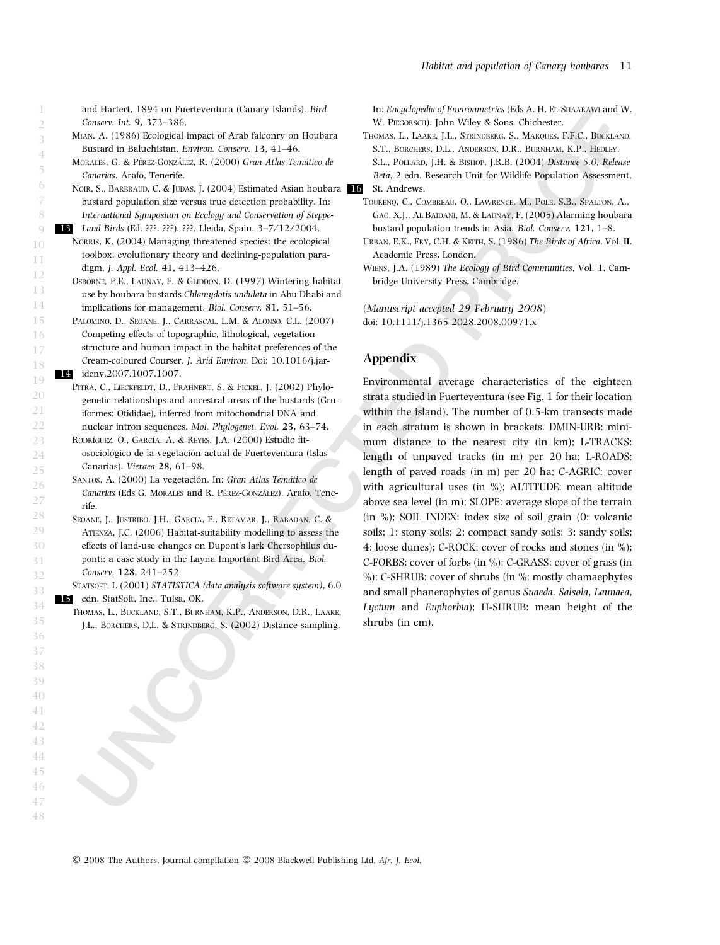and Hartert, 1894 on Fuerteventura (Canary Islands). Bird Conserv. Int. 9, 373–386.

- Mian, A. (1986) Ecological impact of Arab falconry on Houbara Bustard in Baluchistan. Environ. Conserv. 13, 41–46.
- MORALES, G. & PÉREZ-GONZÁLEZ, R. (2000) Gran Atlas Temático de Canarias. Arafo, Tenerife.
- NOIR, S., BARBRAUD, C. & JUDAS, J. (2004) Estimated Asian houbara 16 bustard population size versus true detection probability. In: International Symposium on Ecology and Conservation of Steppe-
- 13 Land Birds (Ed. ???. ???). ???, Lleida, Spain, 3-7/12/2004. NORRIS, K. (2004) Managing threatened species: the ecological toolbox, evolutionary theory and declining-population paradigm. J. Appl. Ecol. 41, 413–426.
	- OSBORNE, P.E., LAUNAY, F. & GLIDDON, D. (1997) Wintering habitat use by houbara bustards Chlamydotis undulata in Abu Dhabi and implications for management. Biol. Conserv. 81, 51–56.
- PALOMINO, D., SEOANE, J., CARRASCAL, L.M. & ALONSO, C.L. (2007) Competing effects of topographic, lithological, vegetation structure and human impact in the habitat preferences of the Cream-coloured Courser. J. Arid Environ. Doi: 10.1016/j.jar-14 ideny.2007.1007.1007.
- PITRA, C., LIECKFELDT, D., FRAHNERT, S. & FICKEL, J. (2002) Phylogenetic relationships and ancestral areas of the bustards (Gruiformes: Otididae), inferred from mitochondrial DNA and nuclear intron sequences. Mol. Phylogenet. Evol. 23, 63–74.
- RODRÍGUEZ, O., GARCÍA, A. & REYES, J.A. (2000) Estudio fitosociológico de la vegetación actual de Fuerteventura (Islas Canarias). Vieraea 28, 61–98.
- SANTOS, A. (2000) La vegetación. In: Gran Atlas Temático de Canarias (Eds G. MORALES and R. PÉREZ-GONZÁLEZ). Arafo, Tenerife.
- Seoane, J., Justribo, J.H., Garcia, F., Retamar, J., Rabadan, C. & ATIENZA, J.C. (2006) Habitat-suitability modelling to assess the effects of land-use changes on Dupont's lark Chersophilus duponti: a case study in the Layna Important Bird Area. Biol. Conserv. 128, 241–252.

STATSOFT, I. (2001) STATISTICA (data analysis software system), 6.0 15 edn. StatSoft, Inc., Tulsa, OK.

Thomas, L., Buckland, S.T., Burnham, K.P., Anderson, D.R., Laake, J.L., Borchers, D.L. & Strindberg, S. (2002) Distance sampling. In: Encyclopedia of Environmetrics (Eds A. H. El-Shaarawi and W. W. PIEGORSCH). John Wiley & Sons, Chichester.

THOMAS, L., LAAKE, J.L., STRINDBERG, S., MAROUES, F.F.C., BUCKLAND, S.T., Borchers, D.L., Anderson, D.R., Burnham, K.P., Hedley, S.L., Pollard, J.H. & Bishop, J.R.B. (2004) Distance 5.0, Release Beta, 2 edn. Research Unit for Wildlife Population Assessment,

- Tourenq, C., Combreau, O., Lawrence, M., Pole, S.B., Spalton, A., GAO, X.J., AL BAIDANI, M. & LAUNAY, F. (2005) Alarming houbara bustard population trends in Asia. Biol. Conserv. 121, 1–8.
- Urban, E.K., Fry, C.H. & Keith, S. (1986) The Birds of Africa, Vol. II. Academic Press, London.
- Wiens, J.A. (1989) The Ecology of Bird Communities, Vol. 1. Cambridge University Press, Cambridge.

(Manuscript accepted 29 February 2008) doi: 10.1111/j.1365-2028.2008.00971.x

# Appendix

Environmental average characteristics of the eighteen strata studied in Fuerteventura (see Fig. 1 for their location within the island). The number of 0.5-km transects made in each stratum is shown in brackets. DMIN-URB: minimum distance to the nearest city (in km); L-TRACKS: length of unpaved tracks (in m) per 20 ha; L-ROADS: length of paved roads (in m) per 20 ha; C-AGRIC: cover with agricultural uses (in %); ALTITUDE: mean altitude above sea level (in m); SLOPE: average slope of the terrain (in %); SOIL INDEX: index size of soil grain (0: volcanic soils; 1: stony soils; 2: compact sandy soils; 3: sandy soils; 4: loose dunes); C-ROCK: cover of rocks and stones (in %); C-FORBS: cover of forbs (in %); C-GRASS: cover of grass (in %); C-SHRUB: cover of shrubs (in %; mostly chamaephytes and small phanerophytes of genus Suaeda, Salsola, Launaea, Lycium and Euphorbia); H-SHRUB: mean height of the shrubs (in cm).

© 2008 The Authors. Journal compilation © 2008 Blackwell Publishing Ltd, Afr. J. Ecol.

St. Andrews.